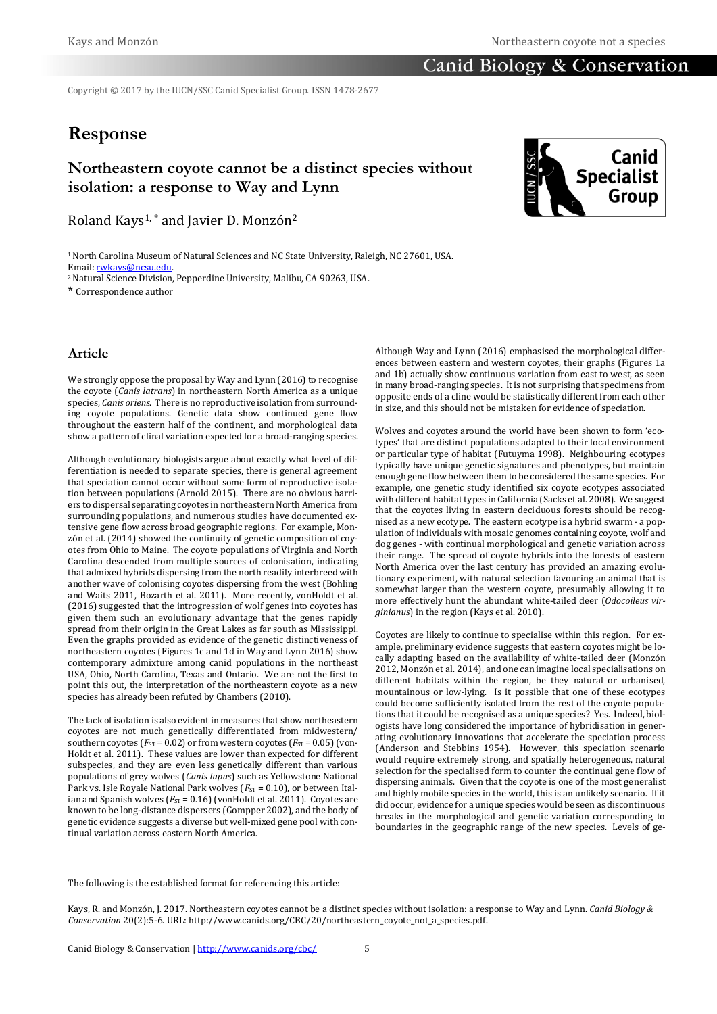### **Canid Biology & Conservation**

Copyright © 2017 by the IUCN/SSC Canid Specialist Group. ISSN 1478-2677

# **Response**

## **Northeastern coyote cannot be a distinct species without isolation: a response to Way and Lynn**

Roland Kays<sup>1,\*</sup> and Javier D. Monzón<sup>2</sup>

<sup>1</sup> North Carolina Museum of Natural Sciences and NC State University, Raleigh, NC 27601, USA. Email[: rwkays@ncsu.edu.](mailto:rwkays@ncsu.edu)

<sup>2</sup>Natural Science Division, Pepperdine University, Malibu, CA 90263, USA.

\* Correspondence author

#### **Article**

We strongly oppose the proposal by Way and Lynn (2016) to recognise the coyote (*Canis latrans*) in northeastern North America as a unique species, *Canis oriens*. There is no reproductive isolation from surrounding coyote populations. Genetic data show continued gene flow throughout the eastern half of the continent, and morphological data show a pattern of clinal variation expected for a broad-ranging species.

Although evolutionary biologists argue about exactly what level of differentiation is needed to separate species, there is general agreement that speciation cannot occur without some form of reproductive isolation between populations (Arnold 2015). There are no obvious barriers to dispersal separating coyotes in northeastern North America from surrounding populations, and numerous studies have documented extensive gene flow across broad geographic regions. For example, Monzón et al. (2014) showed the continuity of genetic composition of coyotes from Ohio to Maine. The coyote populations of Virginia and North Carolina descended from multiple sources of colonisation, indicating that admixed hybrids dispersing from the north readily interbreed with another wave of colonising coyotes dispersing from the west (Bohling and Waits 2011, Bozarth et al. 2011). More recently, vonHoldt et al. (2016) suggested that the introgression of wolf genes into coyotes has given them such an evolutionary advantage that the genes rapidly spread from their origin in the Great Lakes as far south as Mississippi. Even the graphs provided as evidence of the genetic distinctiveness of northeastern coyotes (Figures 1c and 1d in Way and Lynn 2016) show contemporary admixture among canid populations in the northeast USA, Ohio, North Carolina, Texas and Ontario. We are not the first to point this out, the interpretation of the northeastern coyote as a new species has already been refuted by Chambers (2010).

The lack of isolation is also evident in measures that show northeastern coyotes are not much genetically differentiated from midwestern/ southern coyotes ( $F_{ST}$  = 0.02) or from western coyotes ( $F_{ST}$  = 0.05) (von-Holdt et al. 2011). These values are lower than expected for different subspecies, and they are even less genetically different than various populations of grey wolves (*Canis lupus*) such as Yellowstone National Park vs. Isle Royale National Park wolves ( $F_{ST}$  = 0.10), or between Italian and Spanish wolves  $(F_{ST} = 0.16)$  (vonHoldt et al. 2011). Coyotes are known to be long-distance dispersers (Gompper 2002), and the body of genetic evidence suggests a diverse but well-mixed gene pool with continual variation across eastern North America.

Although Way and Lynn (2016) emphasised the morphological differences between eastern and western coyotes, their graphs (Figures 1a and 1b) actually show continuous variation from east to west, as seen in many broad-ranging species. It is not surprising that specimens from opposite ends of a cline would be statistically different from each other in size, and this should not be mistaken for evidence of speciation.

Wolves and coyotes around the world have been shown to form 'ecotypes' that are distinct populations adapted to their local environment or particular type of habitat (Futuyma 1998). Neighbouring ecotypes typically have unique genetic signatures and phenotypes, but maintain enough gene flow between them to be considered the same species. For example, one genetic study identified six coyote ecotypes associated with different habitat types in California (Sacks et al. 2008). We suggest that the coyotes living in eastern deciduous forests should be recognised as a new ecotype. The eastern ecotype is a hybrid swarm - a population of individuals with mosaic genomes containing coyote, wolf and dog genes - with continual morphological and genetic variation across their range. The spread of coyote hybrids into the forests of eastern North America over the last century has provided an amazing evolutionary experiment, with natural selection favouring an animal that is somewhat larger than the western coyote, presumably allowing it to more effectively hunt the abundant white-tailed deer (*Odocoileus virginianus*) in the region (Kays et al. 2010).

Coyotes are likely to continue to specialise within this region. For example, preliminary evidence suggests that eastern coyotes might be locally adapting based on the availability of white-tailed deer (Monzón 2012, Monzón et al. 2014), and one can imagine local specialisations on different habitats within the region, be they natural or urbanised, mountainous or low-lying. Is it possible that one of these ecotypes could become sufficiently isolated from the rest of the coyote populations that it could be recognised as a unique species? Yes. Indeed, biologists have long considered the importance of hybridisation in generating evolutionary innovations that accelerate the speciation process (Anderson and Stebbins 1954). However, this speciation scenario would require extremely strong, and spatially heterogeneous, natural selection for the specialised form to counter the continual gene flow of dispersing animals. Given that the coyote is one of the most generalist and highly mobile species in the world, this is an unlikely scenario. If it did occur, evidence for a unique species would be seen as discontinuous breaks in the morphological and genetic variation corresponding to boundaries in the geographic range of the new species. Levels of ge-

The following is the established format for referencing this article:

Kays, R. and Monzón, J. 2017. Northeastern coyotes cannot be a distinct species without isolation: a response to Way and Lynn. *Canid Biology & Conservation* 20(2):5-6. URL: http://www.canids.org/CBC/20/northeastern\_coyote\_not\_a\_species.pdf.